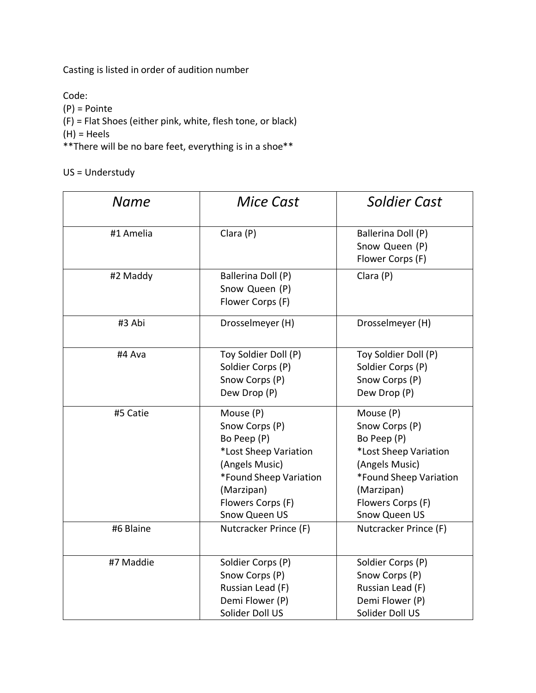Casting is listed in order of audition number

Code: (P) = Pointe

(F) = Flat Shoes (either pink, white, flesh tone, or black)

(H) = Heels

\*\*There will be no bare feet, everything is in a shoe\*\*

US = Understudy

| <b>Name</b> | <b>Mice Cast</b>                                                                                                                                                    | <b>Soldier Cast</b>                                                                                                                                                 |
|-------------|---------------------------------------------------------------------------------------------------------------------------------------------------------------------|---------------------------------------------------------------------------------------------------------------------------------------------------------------------|
| #1 Amelia   | Clara (P)                                                                                                                                                           | Ballerina Doll (P)<br>Snow Queen (P)<br>Flower Corps (F)                                                                                                            |
| #2 Maddy    | Ballerina Doll (P)<br>Snow Queen (P)<br>Flower Corps (F)                                                                                                            | Clara (P)                                                                                                                                                           |
| #3 Abi      | Drosselmeyer (H)                                                                                                                                                    | Drosselmeyer (H)                                                                                                                                                    |
| #4 Ava      | Toy Soldier Doll (P)<br>Soldier Corps (P)<br>Snow Corps (P)<br>Dew Drop (P)                                                                                         | Toy Soldier Doll (P)<br>Soldier Corps (P)<br>Snow Corps (P)<br>Dew Drop (P)                                                                                         |
| #5 Catie    | Mouse (P)<br>Snow Corps (P)<br>Bo Peep (P)<br>*Lost Sheep Variation<br>(Angels Music)<br>*Found Sheep Variation<br>(Marzipan)<br>Flowers Corps (F)<br>Snow Queen US | Mouse (P)<br>Snow Corps (P)<br>Bo Peep (P)<br>*Lost Sheep Variation<br>(Angels Music)<br>*Found Sheep Variation<br>(Marzipan)<br>Flowers Corps (F)<br>Snow Queen US |
| #6 Blaine   | Nutcracker Prince (F)                                                                                                                                               | Nutcracker Prince (F)                                                                                                                                               |
| #7 Maddie   | Soldier Corps (P)<br>Snow Corps (P)<br>Russian Lead (F)<br>Demi Flower (P)<br>Solider Doll US                                                                       | Soldier Corps (P)<br>Snow Corps (P)<br>Russian Lead (F)<br>Demi Flower (P)<br>Solider Doll US                                                                       |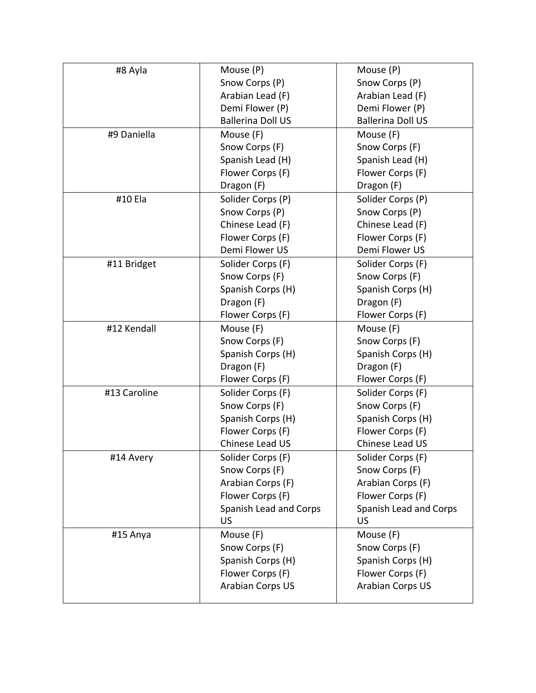| #8 Ayla      | Mouse (P)                             | Mouse (P)                             |
|--------------|---------------------------------------|---------------------------------------|
|              | Snow Corps (P)                        | Snow Corps (P)                        |
|              | Arabian Lead (F)                      | Arabian Lead (F)                      |
|              | Demi Flower (P)                       | Demi Flower (P)                       |
|              | <b>Ballerina Doll US</b>              | <b>Ballerina Doll US</b>              |
| #9 Daniella  | Mouse (F)                             | Mouse (F)                             |
|              | Snow Corps (F)                        | Snow Corps (F)                        |
|              | Spanish Lead (H)                      | Spanish Lead (H)                      |
|              | Flower Corps (F)                      | Flower Corps (F)                      |
|              | Dragon (F)                            | Dragon (F)                            |
| #10 Ela      | Solider Corps (P)                     | Solider Corps (P)                     |
|              | Snow Corps (P)                        | Snow Corps (P)                        |
|              | Chinese Lead (F)                      | Chinese Lead (F)                      |
|              | Flower Corps (F)                      | Flower Corps (F)                      |
|              | Demi Flower US                        | Demi Flower US                        |
| #11 Bridget  | Solider Corps (F)                     | Solider Corps (F)                     |
|              | Snow Corps (F)                        | Snow Corps (F)                        |
|              | Spanish Corps (H)                     | Spanish Corps (H)                     |
|              | Dragon (F)                            | Dragon (F)                            |
|              | Flower Corps (F)                      | Flower Corps (F)                      |
| #12 Kendall  | Mouse (F)                             | Mouse (F)                             |
|              | Snow Corps (F)                        | Snow Corps (F)                        |
|              | Spanish Corps (H)                     | Spanish Corps (H)                     |
|              | Dragon (F)                            | Dragon (F)                            |
|              | Flower Corps (F)                      | Flower Corps (F)                      |
| #13 Caroline | Solider Corps (F)                     | Solider Corps (F)                     |
|              | Snow Corps (F)                        | Snow Corps (F)                        |
|              | Spanish Corps (H)                     | Spanish Corps (H)                     |
|              | Flower Corps (F)<br>Chinese Lead US   | Flower Corps (F)<br>Chinese Lead US   |
|              |                                       |                                       |
| #14 Avery    | Solider Corps (F)                     | Solider Corps (F)                     |
|              | Snow Corps (F)                        | Snow Corps (F)                        |
|              | Arabian Corps (F)<br>Flower Corps (F) | Arabian Corps (F)<br>Flower Corps (F) |
|              | Spanish Lead and Corps                | Spanish Lead and Corps                |
|              | <b>US</b>                             | US                                    |
| #15 Anya     | Mouse (F)                             | Mouse (F)                             |
|              | Snow Corps (F)                        | Snow Corps (F)                        |
|              | Spanish Corps (H)                     | Spanish Corps (H)                     |
|              | Flower Corps (F)                      | Flower Corps (F)                      |
|              | Arabian Corps US                      | Arabian Corps US                      |
|              |                                       |                                       |